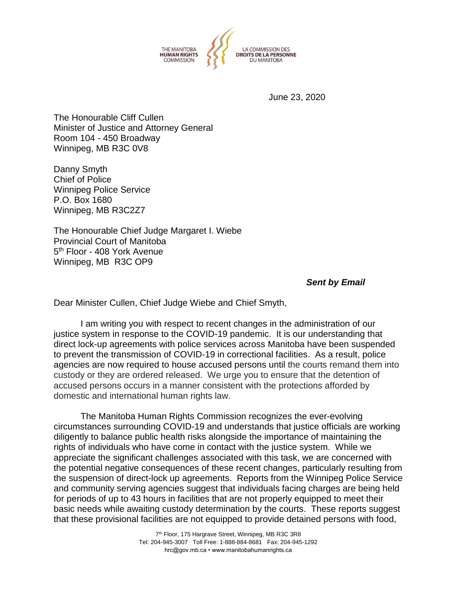

June 23, 2020

The Honourable Cliff Cullen Minister of Justice and Attorney General Room 104 - 450 Broadway Winnipeg, MB R3C 0V8

Danny Smyth Chief of Police Winnipeg Police Service P.O. Box 1680 Winnipeg, MB R3C2Z7

The Honourable Chief Judge Margaret I. Wiebe Provincial Court of Manitoba 5<sup>th</sup> Floor - 408 York Avenue Winnipeg, MB R3C OP9

*Sent by Email*

Dear Minister Cullen, Chief Judge Wiebe and Chief Smyth,

I am writing you with respect to recent changes in the administration of our justice system in response to the COVID-19 pandemic. It is our understanding that direct lock-up agreements with police services across Manitoba have been suspended to prevent the transmission of COVID-19 in correctional facilities. As a result, police agencies are now required to house accused persons until the courts remand them into custody or they are ordered released. We urge you to ensure that the detention of accused persons occurs in a manner consistent with the protections afforded by domestic and international human rights law.

The Manitoba Human Rights Commission recognizes the ever-evolving circumstances surrounding COVID-19 and understands that justice officials are working diligently to balance public health risks alongside the importance of maintaining the rights of individuals who have come in contact with the justice system. While we appreciate the significant challenges associated with this task, we are concerned with the potential negative consequences of these recent changes, particularly resulting from the suspension of direct-lock up agreements. Reports from the Winnipeg Police Service and community serving agencies suggest that individuals facing charges are being held for periods of up to 43 hours in facilities that are not properly equipped to meet their basic needs while awaiting custody determination by the courts. These reports suggest that these provisional facilities are not equipped to provide detained persons with food,

> 7<sup>th</sup> Floor, 175 Hargrave Street, Winnipeg, MB R3C 3R8 Tel: 204-945-3007 Toll Free: 1-888-884-8681 Fax: 204-945-1292 hrc@gov.mb.ca • www.manitobahumanrights.ca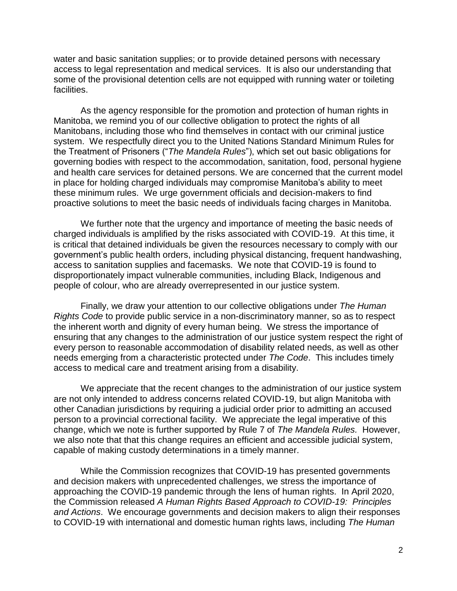water and basic sanitation supplies; or to provide detained persons with necessary access to legal representation and medical services. It is also our understanding that some of the provisional detention cells are not equipped with running water or toileting facilities.

As the agency responsible for the promotion and protection of human rights in Manitoba, we remind you of our collective obligation to protect the rights of all Manitobans, including those who find themselves in contact with our criminal justice system. We respectfully direct you to the United Nations Standard Minimum Rules for the Treatment of Prisoners ("*The Mandela Rules*"), which set out basic obligations for governing bodies with respect to the accommodation, sanitation, food, personal hygiene and health care services for detained persons. We are concerned that the current model in place for holding charged individuals may compromise Manitoba's ability to meet these minimum rules. We urge government officials and decision-makers to find proactive solutions to meet the basic needs of individuals facing charges in Manitoba.

We further note that the urgency and importance of meeting the basic needs of charged individuals is amplified by the risks associated with COVID-19. At this time, it is critical that detained individuals be given the resources necessary to comply with our government's public health orders, including physical distancing, frequent handwashing, access to sanitation supplies and facemasks. We note that COVID-19 is found to disproportionately impact vulnerable communities, including Black, Indigenous and people of colour, who are already overrepresented in our justice system.

Finally, we draw your attention to our collective obligations under *The Human Rights Code* to provide public service in a non-discriminatory manner, so as to respect the inherent worth and dignity of every human being. We stress the importance of ensuring that any changes to the administration of our justice system respect the right of every person to reasonable accommodation of disability related needs, as well as other needs emerging from a characteristic protected under *The Code*. This includes timely access to medical care and treatment arising from a disability.

We appreciate that the recent changes to the administration of our justice system are not only intended to address concerns related COVID-19, but align Manitoba with other Canadian jurisdictions by requiring a judicial order prior to admitting an accused person to a provincial correctional facility. We appreciate the legal imperative of this change, which we note is further supported by Rule 7 of *The Mandela Rules.* However, we also note that that this change requires an efficient and accessible judicial system, capable of making custody determinations in a timely manner.

While the Commission recognizes that COVID-19 has presented governments and decision makers with unprecedented challenges, we stress the importance of approaching the COVID-19 pandemic through the lens of human rights. In April 2020, the Commission released *A Human Rights Based Approach to COVID-19: Principles and Actions*. We encourage governments and decision makers to align their responses to COVID-19 with international and domestic human rights laws, including *The Human*